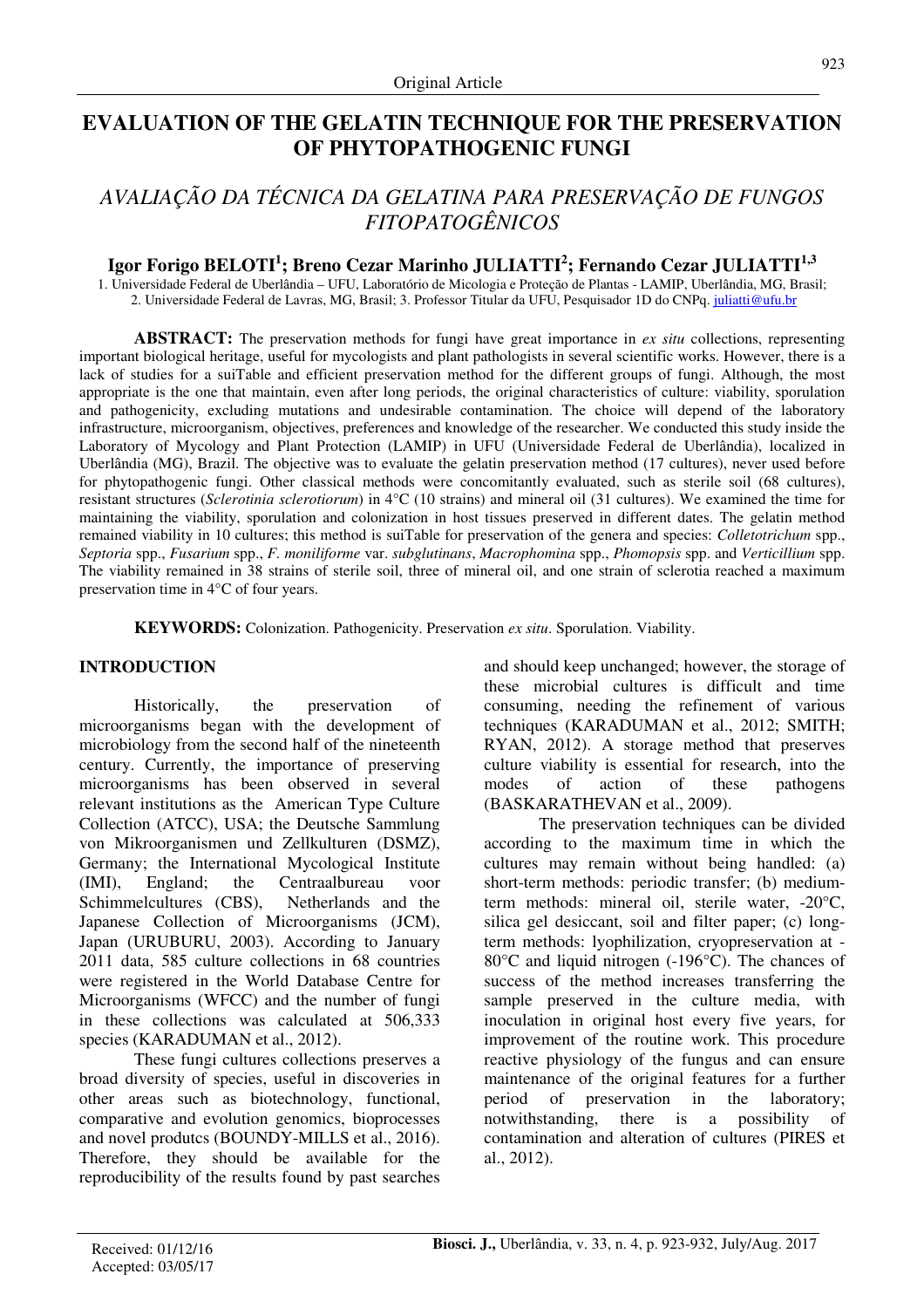## **EVALUATION OF THE GELATIN TECHNIQUE FOR THE PRESERVATION OF PHYTOPATHOGENIC FUNGI**

# *AVALIAÇÃO DA TÉCNICA DA GELATINA PARA PRESERVAÇÃO DE FUNGOS FITOPATOGÊNICOS*

## **Igor Forigo BELOTI<sup>1</sup> ; Breno Cezar Marinho JULIATTI<sup>2</sup> ; Fernando Cezar JULIATTI1,3**

1. Universidade Federal de Uberlândia – UFU, Laboratório de Micologia e Proteção de Plantas - LAMIP, Uberlândia, MG, Brasil; 2. Universidade Federal de Lavras, MG, Brasil; 3. Professor Titular da UFU, Pesquisador 1D do CNPq. juliatti@ufu.br

**ABSTRACT:** The preservation methods for fungi have great importance in *ex situ* collections, representing important biological heritage, useful for mycologists and plant pathologists in several scientific works. However, there is a lack of studies for a suiTable and efficient preservation method for the different groups of fungi. Although, the most appropriate is the one that maintain, even after long periods, the original characteristics of culture: viability, sporulation and pathogenicity, excluding mutations and undesirable contamination. The choice will depend of the laboratory infrastructure, microorganism, objectives, preferences and knowledge of the researcher. We conducted this study inside the Laboratory of Mycology and Plant Protection (LAMIP) in UFU (Universidade Federal de Uberlândia), localized in Uberlândia (MG), Brazil. The objective was to evaluate the gelatin preservation method (17 cultures), never used before for phytopathogenic fungi. Other classical methods were concomitantly evaluated, such as sterile soil (68 cultures), resistant structures (*Sclerotinia sclerotiorum*) in 4°C (10 strains) and mineral oil (31 cultures). We examined the time for maintaining the viability, sporulation and colonization in host tissues preserved in different dates. The gelatin method remained viability in 10 cultures; this method is suiTable for preservation of the genera and species: *Colletotrichum* spp., *Septoria* spp., *Fusarium* spp., *F. moniliforme* var. *subglutinans*, *Macrophomina* spp., *Phomopsis* spp. and *Verticillium* spp. The viability remained in 38 strains of sterile soil, three of mineral oil, and one strain of sclerotia reached a maximum preservation time in 4°C of four years.

**KEYWORDS:** Colonization. Pathogenicity. Preservation *ex situ*. Sporulation. Viability.

## **INTRODUCTION**

Historically, the preservation of microorganisms began with the development of microbiology from the second half of the nineteenth century. Currently, the importance of preserving microorganisms has been observed in several relevant institutions as the American Type Culture Collection (ATCC), USA; the Deutsche Sammlung von Mikroorganismen und Zellkulturen (DSMZ), Germany; the International Mycological Institute (IMI), England; the Centraalbureau voor Schimmelcultures (CBS), Netherlands and the Japanese Collection of Microorganisms (JCM), Japan (URUBURU, 2003). According to January 2011 data, 585 culture collections in 68 countries were registered in the World Database Centre for Microorganisms (WFCC) and the number of fungi in these collections was calculated at 506,333 species (KARADUMAN et al., 2012).

These fungi cultures collections preserves a broad diversity of species, useful in discoveries in other areas such as biotechnology, functional, comparative and evolution genomics, bioprocesses and novel produtcs (BOUNDY-MILLS et al., 2016). Therefore, they should be available for the reproducibility of the results found by past searches

and should keep unchanged; however, the storage of these microbial cultures is difficult and time consuming, needing the refinement of various techniques (KARADUMAN et al., 2012; SMITH; RYAN, 2012). A storage method that preserves culture viability is essential for research, into the modes of action of these pathogens (BASKARATHEVAN et al., 2009).

The preservation techniques can be divided according to the maximum time in which the cultures may remain without being handled: (a) short-term methods: periodic transfer; (b) mediumterm methods: mineral oil, sterile water, -20°C, silica gel desiccant, soil and filter paper; (c) longterm methods: lyophilization, cryopreservation at - 80°C and liquid nitrogen (-196°C). The chances of success of the method increases transferring the sample preserved in the culture media, with inoculation in original host every five years, for improvement of the routine work. This procedure reactive physiology of the fungus and can ensure maintenance of the original features for a further period of preservation in the laboratory; notwithstanding, there is a possibility of contamination and alteration of cultures (PIRES et al., 2012).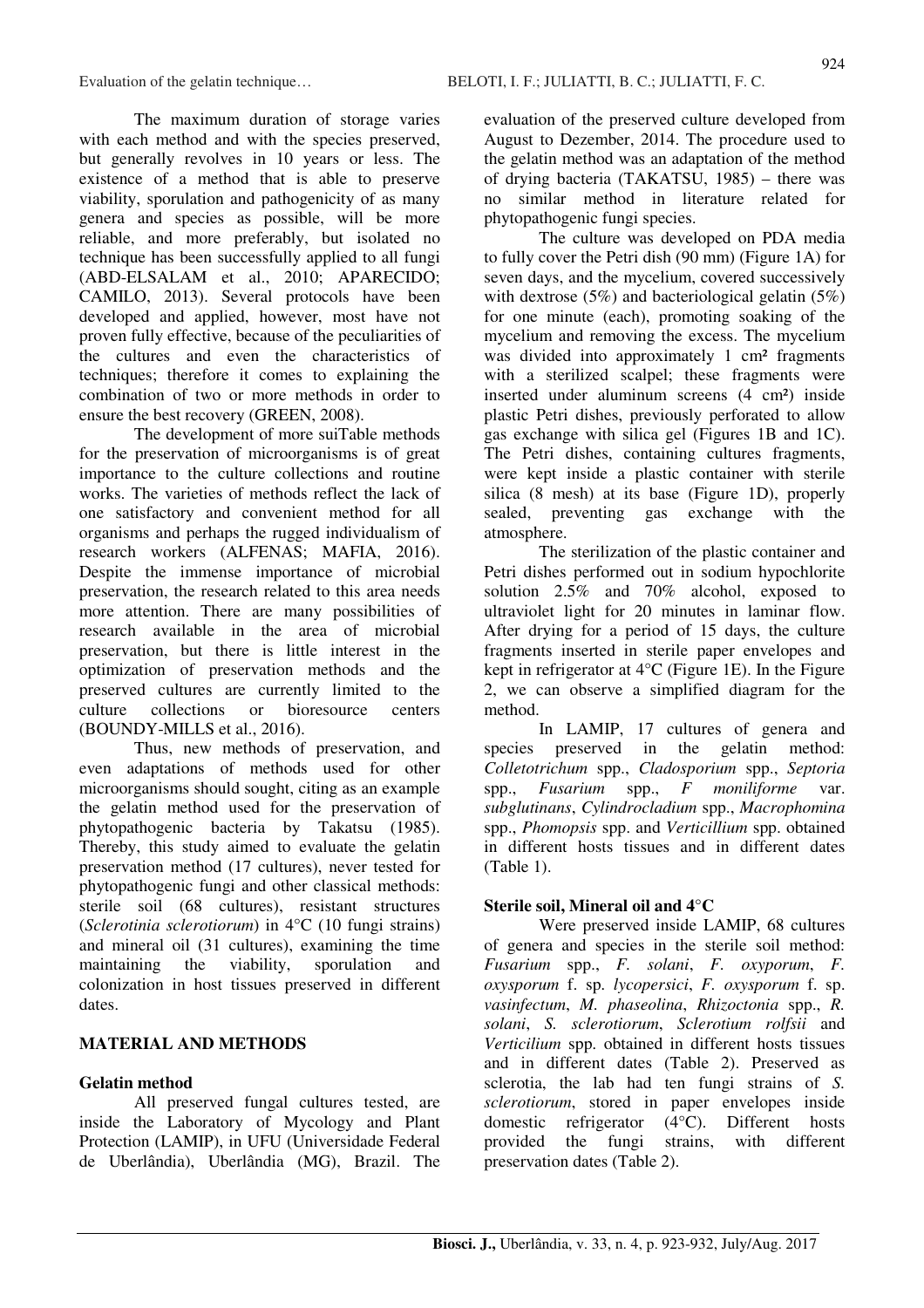The maximum duration of storage varies with each method and with the species preserved, but generally revolves in 10 years or less. The existence of a method that is able to preserve viability, sporulation and pathogenicity of as many genera and species as possible, will be more reliable, and more preferably, but isolated no technique has been successfully applied to all fungi (ABD-ELSALAM et al., 2010; APARECIDO; CAMILO, 2013). Several protocols have been developed and applied, however, most have not proven fully effective, because of the peculiarities of the cultures and even the characteristics of techniques; therefore it comes to explaining the combination of two or more methods in order to ensure the best recovery (GREEN, 2008).

The development of more suiTable methods for the preservation of microorganisms is of great importance to the culture collections and routine works. The varieties of methods reflect the lack of one satisfactory and convenient method for all organisms and perhaps the rugged individualism of research workers (ALFENAS; MAFIA, 2016). Despite the immense importance of microbial preservation, the research related to this area needs more attention. There are many possibilities of research available in the area of microbial preservation, but there is little interest in the optimization of preservation methods and the preserved cultures are currently limited to the culture collections or bioresource centers (BOUNDY-MILLS et al., 2016).

Thus, new methods of preservation, and even adaptations of methods used for other microorganisms should sought, citing as an example the gelatin method used for the preservation of phytopathogenic bacteria by Takatsu (1985). Thereby, this study aimed to evaluate the gelatin preservation method (17 cultures), never tested for phytopathogenic fungi and other classical methods: sterile soil (68 cultures), resistant structures (*Sclerotinia sclerotiorum*) in 4°C (10 fungi strains) and mineral oil (31 cultures), examining the time maintaining the viability, sporulation and colonization in host tissues preserved in different dates.

## **MATERIAL AND METHODS**

## **Gelatin method**

All preserved fungal cultures tested, are inside the Laboratory of Mycology and Plant Protection (LAMIP), in UFU (Universidade Federal de Uberlândia), Uberlândia (MG), Brazil. The evaluation of the preserved culture developed from August to Dezember, 2014. The procedure used to the gelatin method was an adaptation of the method of drying bacteria (TAKATSU, 1985) – there was no similar method in literature related for phytopathogenic fungi species.

The culture was developed on PDA media to fully cover the Petri dish (90 mm) (Figure 1A) for seven days, and the mycelium, covered successively with dextrose (5%) and bacteriological gelatin (5%) for one minute (each), promoting soaking of the mycelium and removing the excess. The mycelium was divided into approximately 1 cm<sup>2</sup> fragments with a sterilized scalpel; these fragments were inserted under aluminum screens (4 cm²) inside plastic Petri dishes, previously perforated to allow gas exchange with silica gel (Figures 1B and 1C). The Petri dishes, containing cultures fragments, were kept inside a plastic container with sterile silica (8 mesh) at its base (Figure 1D), properly sealed, preventing gas exchange with the atmosphere.

The sterilization of the plastic container and Petri dishes performed out in sodium hypochlorite solution 2.5% and 70% alcohol, exposed to ultraviolet light for 20 minutes in laminar flow. After drying for a period of 15 days, the culture fragments inserted in sterile paper envelopes and kept in refrigerator at 4°C (Figure 1E). In the Figure 2, we can observe a simplified diagram for the method.

In LAMIP, 17 cultures of genera and species preserved in the gelatin method: *Colletotrichum* spp., *Cladosporium* spp., *Septoria*  spp., *Fusarium* spp., *F moniliforme* var. *subglutinans*, *Cylindrocladium* spp., *Macrophomina*  spp., *Phomopsis* spp. and *Verticillium* spp. obtained in different hosts tissues and in different dates (Table 1).

## **Sterile soil, Mineral oil and 4°C**

Were preserved inside LAMIP, 68 cultures of genera and species in the sterile soil method: *Fusarium* spp., *F. solani*, *F. oxyporum*, *F. oxysporum* f. sp. *lycopersici*, *F. oxysporum* f. sp. *vasinfectum*, *M. phaseolina*, *Rhizoctonia* spp., *R. solani*, *S. sclerotiorum*, *Sclerotium rolfsii* and *Verticilium* spp. obtained in different hosts tissues and in different dates (Table 2). Preserved as sclerotia, the lab had ten fungi strains of *S. sclerotiorum*, stored in paper envelopes inside domestic refrigerator (4°C). Different hosts provided the fungi strains, with different preservation dates (Table 2).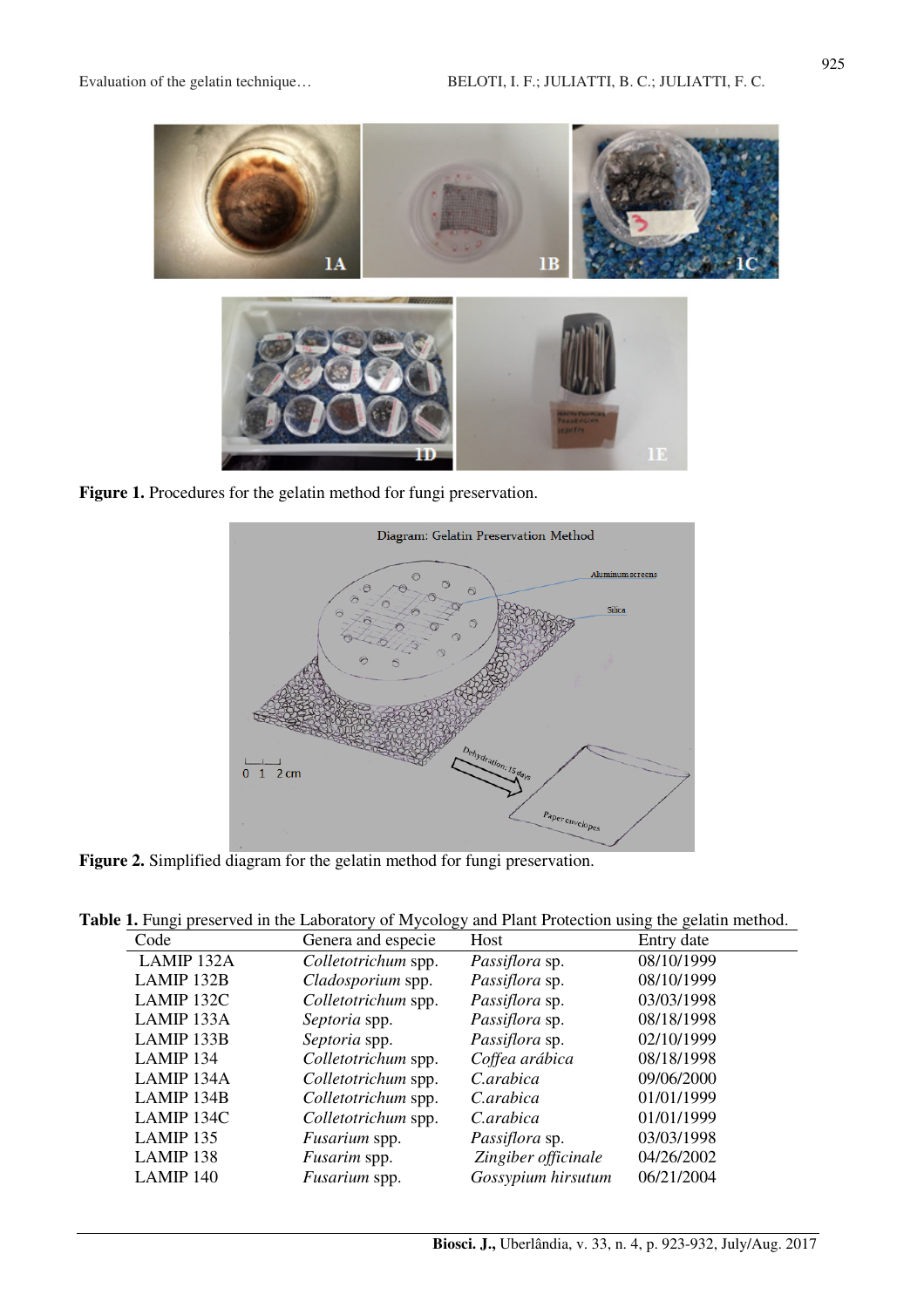

**Figure 1.** Procedures for the gelatin method for fungi preservation.



**Figure 2.** Simplified diagram for the gelatin method for fungi preservation.

|  |  | Table 1. Fungi preserved in the Laboratory of Mycology and Plant Protection using the gelatin method. |  |  |  |  |
|--|--|-------------------------------------------------------------------------------------------------------|--|--|--|--|
|  |  |                                                                                                       |  |  |  |  |

| Code       | Genera and especie   | Host                  | Entry date |
|------------|----------------------|-----------------------|------------|
| LAMIP 132A | Colletotrichum spp.  | Passiflora sp.        | 08/10/1999 |
| LAMIP 132B | Cladosporium spp.    | Passiflora sp.        | 08/10/1999 |
| LAMIP 132C | Colletotrichum spp.  | <i>Passiflora</i> sp. | 03/03/1998 |
| LAMIP 133A | Septoria spp.        | Passiflora sp.        | 08/18/1998 |
| LAMIP 133B | Septoria spp.        | Passiflora sp.        | 02/10/1999 |
| LAMIP 134  | Colletotrichum spp.  | Coffea arábica        | 08/18/1998 |
| LAMIP 134A | Colletotrichum spp.  | C.arabica             | 09/06/2000 |
| LAMIP 134B | Colletotrichum spp.  | C.arabica             | 01/01/1999 |
| LAMIP 134C | Colletotrichum spp.  | C.arabica             | 01/01/1999 |
| LAMIP 135  | <i>Fusarium</i> spp. | Passiflora sp.        | 03/03/1998 |
| LAMIP 138  | <i>Fusarim</i> spp.  | Zingiber officinale   | 04/26/2002 |
| LAMIP 140  | Fusarium spp.        | Gossypium hirsutum    | 06/21/2004 |
|            |                      |                       |            |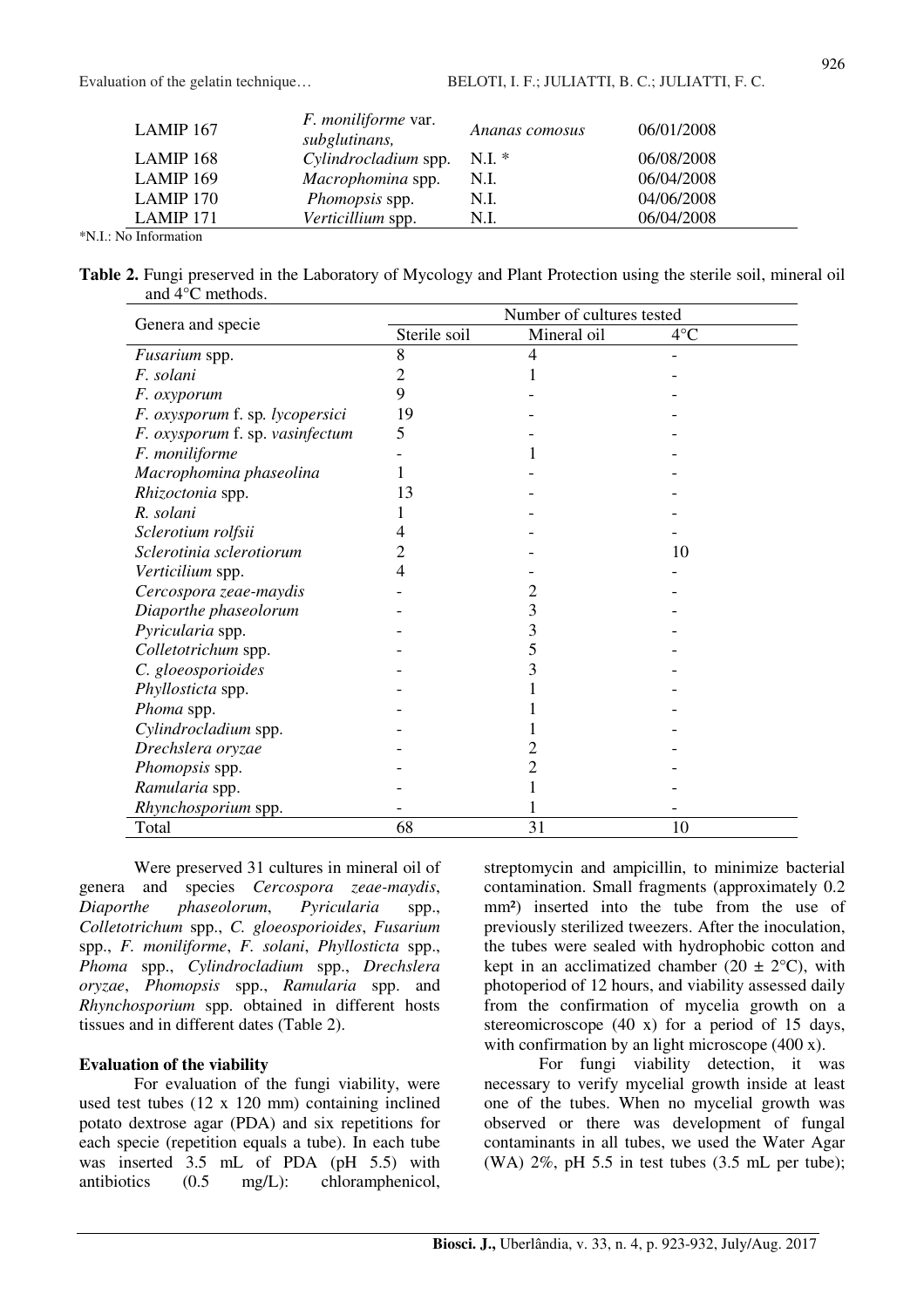| $LAMIP$ 167 | <i>F. moniliforme</i> var.<br>subglutinans, | Ananas comosus | 06/01/2008 |
|-------------|---------------------------------------------|----------------|------------|
| $LAMIP$ 168 | Cylindrocladium spp.                        | $N.I.*$        | 06/08/2008 |
| $LAMIP$ 169 | Macrophomina spp.                           | N.I.           | 06/04/2008 |
| $LAMIP$ 170 | Phomopsis spp.                              | N.I.           | 04/06/2008 |
| $LAMIP$ 171 | Verticillium spp.                           | N.I.           | 06/04/2008 |

\*N.I.: No Information

**Table 2.** Fungi preserved in the Laboratory of Mycology and Plant Protection using the sterile soil, mineral oil and 4°C methods.

|                                 | Number of cultures tested |             |              |  |  |  |
|---------------------------------|---------------------------|-------------|--------------|--|--|--|
| Genera and specie               | Sterile soil              | Mineral oil | $4^{\circ}C$ |  |  |  |
| <i>Fusarium</i> spp.            | 8                         | 4           |              |  |  |  |
| F. solani                       | 2                         | 1           |              |  |  |  |
| F. oxyporum                     | 9                         |             |              |  |  |  |
| F. oxysporum f. sp. lycopersici | 19                        |             |              |  |  |  |
| F. oxysporum f. sp. vasinfectum | 5                         |             |              |  |  |  |
| F. moniliforme                  |                           |             |              |  |  |  |
| Macrophomina phaseolina         |                           |             |              |  |  |  |
| Rhizoctonia spp.                | 13                        |             |              |  |  |  |
| R. solani                       |                           |             |              |  |  |  |
| Sclerotium rolfsii              |                           |             |              |  |  |  |
| Sclerotinia sclerotiorum        |                           |             | 10           |  |  |  |
| Verticilium spp.                |                           |             |              |  |  |  |
| Cercospora zeae-maydis          |                           |             |              |  |  |  |
| Diaporthe phaseolorum           |                           | 3           |              |  |  |  |
| Pyricularia spp.                |                           | 3           |              |  |  |  |
| Colletotrichum spp.             |                           | 5           |              |  |  |  |
| C. gloeosporioides              |                           | 3           |              |  |  |  |
| Phyllosticta spp.               |                           |             |              |  |  |  |
| Phoma spp.                      |                           |             |              |  |  |  |
| Cylindrocladium spp.            |                           |             |              |  |  |  |
| Drechslera oryzae               |                           |             |              |  |  |  |
| Phomopsis spp.                  |                           | 2           |              |  |  |  |
| Ramularia spp.                  |                           |             |              |  |  |  |
| Rhynchosporium spp.             |                           |             |              |  |  |  |
| Total                           | 68                        | 31          | 10           |  |  |  |

Were preserved 31 cultures in mineral oil of genera and species *Cercospora zeae-maydis*, *Diaporthe phaseolorum*, *Pyricularia* spp., *Colletotrichum* spp., *C. gloeosporioides*, *Fusarium* spp., *F. moniliforme*, *F. solani*, *Phyllosticta* spp., *Phoma* spp., *Cylindrocladium* spp., *Drechslera oryzae*, *Phomopsis* spp., *Ramularia* spp. and *Rhynchosporium* spp. obtained in different hosts tissues and in different dates (Table 2).

## **Evaluation of the viability**

For evaluation of the fungi viability, were used test tubes (12 x 120 mm) containing inclined potato dextrose agar (PDA) and six repetitions for each specie (repetition equals a tube). In each tube was inserted 3.5 mL of PDA (pH 5.5) with antibiotics (0.5 mg/L): chloramphenicol, streptomycin and ampicillin, to minimize bacterial contamination. Small fragments (approximately 0.2 mm<sup>2</sup>) inserted into the tube from the use of previously sterilized tweezers. After the inoculation, the tubes were sealed with hydrophobic cotton and kept in an acclimatized chamber (20  $\pm$  2°C), with photoperiod of 12 hours, and viability assessed daily from the confirmation of mycelia growth on a stereomicroscope (40 x) for a period of 15 days, with confirmation by an light microscope (400 x).

For fungi viability detection, it was necessary to verify mycelial growth inside at least one of the tubes. When no mycelial growth was observed or there was development of fungal contaminants in all tubes, we used the Water Agar (WA) 2%, pH 5.5 in test tubes (3.5 mL per tube);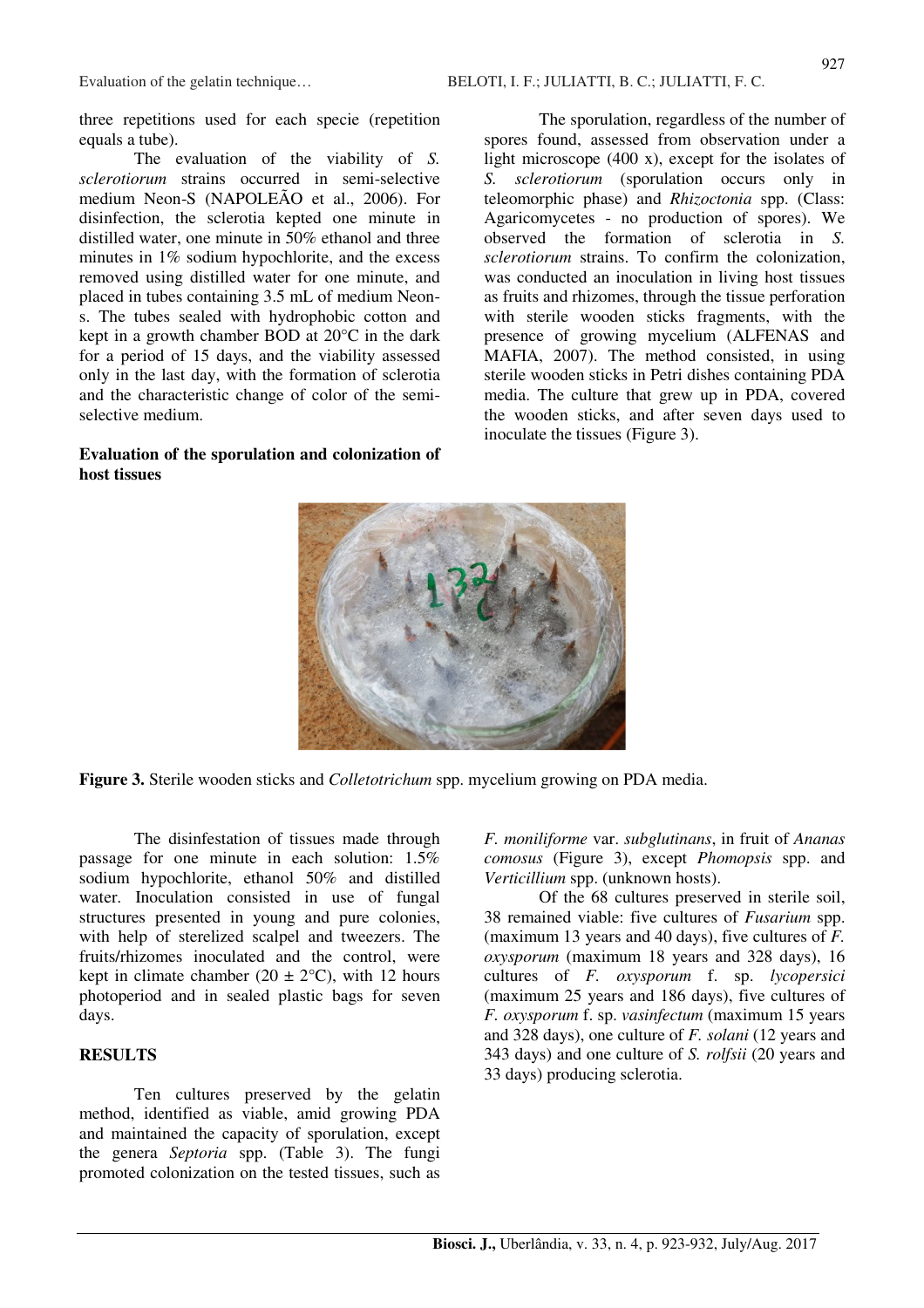three repetitions used for each specie (repetition equals a tube).

The evaluation of the viability of *S. sclerotiorum* strains occurred in semi-selective medium Neon-S (NAPOLEÃO et al., 2006). For disinfection, the sclerotia kepted one minute in distilled water, one minute in 50% ethanol and three minutes in 1% sodium hypochlorite, and the excess removed using distilled water for one minute, and placed in tubes containing 3.5 mL of medium Neons. The tubes sealed with hydrophobic cotton and kept in a growth chamber BOD at 20°C in the dark for a period of 15 days, and the viability assessed only in the last day, with the formation of sclerotia and the characteristic change of color of the semiselective medium.

## **Evaluation of the sporulation and colonization of host tissues**

The sporulation, regardless of the number of spores found, assessed from observation under a light microscope (400 x), except for the isolates of *S. sclerotiorum* (sporulation occurs only in teleomorphic phase) and *Rhizoctonia* spp. (Class: Agaricomycetes - no production of spores). We observed the formation of sclerotia in *S. sclerotiorum* strains. To confirm the colonization, was conducted an inoculation in living host tissues as fruits and rhizomes, through the tissue perforation with sterile wooden sticks fragments, with the presence of growing mycelium (ALFENAS and MAFIA, 2007). The method consisted, in using sterile wooden sticks in Petri dishes containing PDA media. The culture that grew up in PDA, covered the wooden sticks, and after seven days used to inoculate the tissues (Figure 3).





The disinfestation of tissues made through passage for one minute in each solution: 1.5% sodium hypochlorite, ethanol 50% and distilled water. Inoculation consisted in use of fungal structures presented in young and pure colonies, with help of sterelized scalpel and tweezers. The fruits/rhizomes inoculated and the control, were kept in climate chamber (20  $\pm$  2°C), with 12 hours photoperiod and in sealed plastic bags for seven days.

#### **RESULTS**

Ten cultures preserved by the gelatin method, identified as viable, amid growing PDA and maintained the capacity of sporulation, except the genera *Septoria* spp. (Table 3). The fungi promoted colonization on the tested tissues, such as

*F. moniliforme* var. *subglutinans*, in fruit of *Ananas comosus* (Figure 3), except *Phomopsis* spp. and *Verticillium* spp. (unknown hosts).

Of the 68 cultures preserved in sterile soil, 38 remained viable: five cultures of *Fusarium* spp. (maximum 13 years and 40 days), five cultures of *F. oxysporum* (maximum 18 years and 328 days), 16 cultures of *F. oxysporum* f. sp. *lycopersici* (maximum 25 years and 186 days), five cultures of *F. oxysporum* f. sp. *vasinfectum* (maximum 15 years and 328 days), one culture of *F. solani* (12 years and 343 days) and one culture of *S. rolfsii* (20 years and 33 days) producing sclerotia.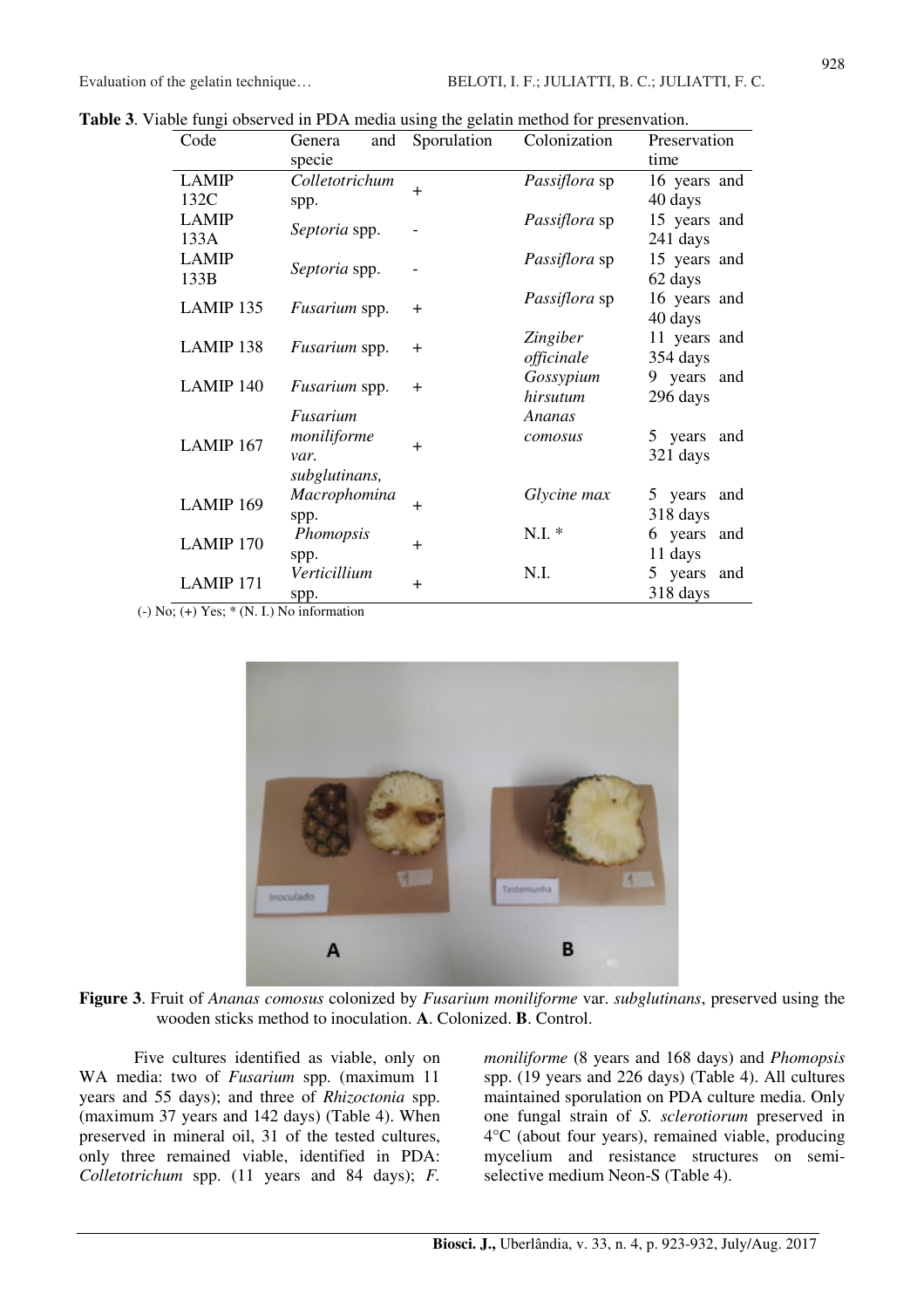|  |  |  |  | Table 3. Viable fungi observed in PDA media using the gelatin method for presenvation. |
|--|--|--|--|----------------------------------------------------------------------------------------|
|  |  |  |  |                                                                                        |

| Code                 | Genera<br>and<br>specie                          | Sporulation | Colonization           | Preservation<br>time       |
|----------------------|--------------------------------------------------|-------------|------------------------|----------------------------|
| <b>LAMIP</b><br>132C | Colletotrichum<br>spp.                           | $+$         | Passiflora sp          | 16 years and<br>40 days    |
| <b>LAMIP</b><br>133A | Septoria spp.                                    |             | Passiflora sp          | 15 years and<br>241 days   |
| <b>LAMIP</b><br>133B | Septoria spp.                                    |             | <i>Passiflora</i> sp   | 15 years and<br>62 days    |
| LAMIP 135            | Fusarium spp.                                    | $+$         | Passiflora sp          | 16 years and<br>40 days    |
| LAMIP 138            | Fusarium spp.                                    | $^{+}$      | Zingiber<br>officinale | 11 years and<br>354 days   |
| LAMIP 140            | Fusarium spp.                                    | $^{+}$      | Gossypium<br>hirsutum  | 9 years and<br>296 days    |
| LAMIP 167            | Fusarium<br>moniliforme<br>var.<br>subglutinans, | $+$         | Ananas<br>comosus      | 5 years and<br>321 days    |
| LAMIP 169            | Macrophomina<br>spp.                             | $+$         | Glycine max            | 5 years<br>and<br>318 days |
| LAMIP 170            | Phomopsis<br>spp.                                | $+$         | N.I.                   | 6 years<br>and<br>11 days  |
| LAMIP 171            | Verticillium<br>spp.                             | $^{+}$      | N.I.                   | 5 years<br>and<br>318 days |

 $(-)$  No;  $(+)$  Yes;  $*(N. I.)$  No information



**Figure 3**. Fruit of *Ananas comosus* colonized by *Fusarium moniliforme* var. *subglutinans*, preserved using the wooden sticks method to inoculation. **A**. Colonized. **B**. Control.

Five cultures identified as viable, only on WA media: two of *Fusarium* spp. (maximum 11 years and 55 days); and three of *Rhizoctonia* spp. (maximum 37 years and 142 days) (Table 4). When preserved in mineral oil, 31 of the tested cultures, only three remained viable, identified in PDA: *Colletotrichum* spp. (11 years and 84 days); *F.* 

*moniliforme* (8 years and 168 days) and *Phomopsis* spp. (19 years and 226 days) (Table 4). All cultures maintained sporulation on PDA culture media. Only one fungal strain of *S. sclerotiorum* preserved in 4°C (about four years), remained viable, producing mycelium and resistance structures on semiselective medium Neon-S (Table 4).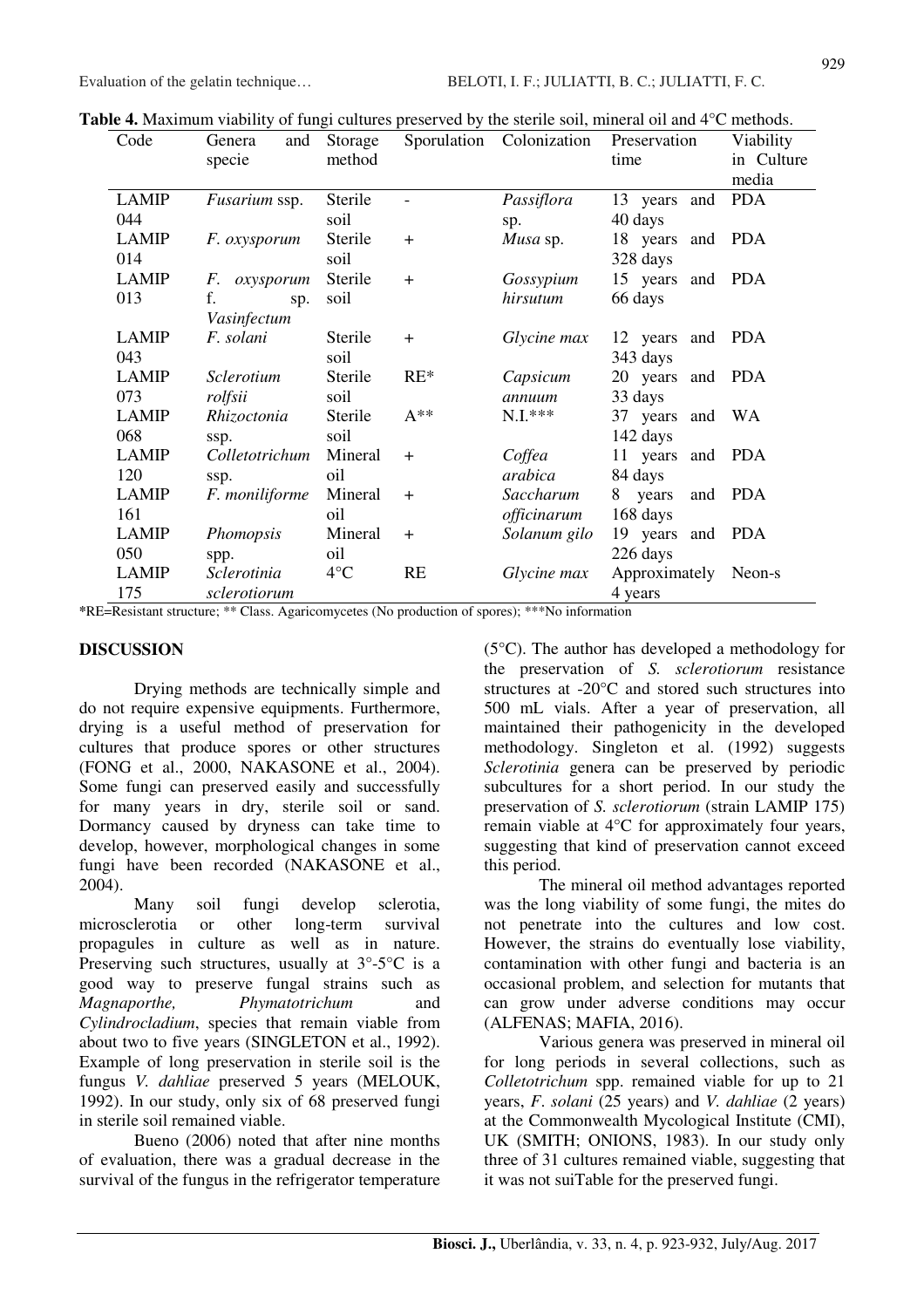| Code         | and<br>Genera                   | Storage      | Sporulation | Colonization | Preservation     | Viability  |
|--------------|---------------------------------|--------------|-------------|--------------|------------------|------------|
|              | specie                          | method       |             |              | time             | in Culture |
|              |                                 |              |             |              |                  | media      |
| <b>LAMIP</b> | Fusarium ssp.                   | Sterile      |             | Passiflora   | 13 years<br>and  | <b>PDA</b> |
| 044          |                                 | soil         |             | sp.          | 40 days          |            |
| <b>LAMIP</b> | <i>F. oxysporum</i>             | Sterile      | $\ddot{}$   | Musa sp.     | 18 years         | and PDA    |
| 014          |                                 | soil         |             |              | 328 days         |            |
| <b>LAMIP</b> | F.<br>oxysporum                 | Sterile      | $\ddot{}$   | Gossypium    | 15 years and PDA |            |
| 013          | f.<br>sp.                       | soil         |             | hirsutum     | 66 days          |            |
|              | Vasinfectum                     |              |             |              |                  |            |
| <b>LAMIP</b> | F. solani                       | Sterile      | $+$         | Glycine max  | 12 years         | and PDA    |
| 043          |                                 | soil         |             |              | 343 days         |            |
| <b>LAMIP</b> | <i><u><b>Sclerotium</b></u></i> | Sterile      | $RE^*$      | Capsicum     | 20 years and PDA |            |
| 073          | rolfsii                         | soil         |             | annuum       | 33 days          |            |
| <b>LAMIP</b> | Rhizoctonia                     | Sterile      | $A^{**}$    | $N.I.***$    | 37 years         | and WA     |
| 068          | ssp.                            | soil         |             |              | 142 days         |            |
| <b>LAMIP</b> | Colletotrichum                  | Mineral      | $+$         | Coffea       | 11 years<br>and  | PDA        |
| 120          | ssp.                            | oil          |             | arabica      | 84 days          |            |
| <b>LAMIP</b> | F. moniliforme                  | Mineral      | $\ddot{}$   | Saccharum    | 8 years<br>and   | <b>PDA</b> |
| 161          |                                 | oil          |             | officinarum  | 168 days         |            |
| <b>LAMIP</b> | Phomopsis                       | Mineral      | $\ddot{}$   | Solanum gilo | 19 years         | and PDA    |
| 050          | spp.                            | oil          |             |              | 226 days         |            |
| <b>LAMIP</b> | Sclerotinia                     | $4^{\circ}C$ | RE          | Glycine max  | Approximately    | Neon-s     |
| 175          | sclerotiorum                    |              |             |              | 4 years          |            |

**Table 4.** Maximum viability of fungi cultures preserved by the sterile soil, mineral oil and 4<sup>o</sup>C methods.

**\***RE=Resistant structure; \*\* Class. Agaricomycetes (No production of spores); \*\*\*No information

#### **DISCUSSION**

Drying methods are technically simple and do not require expensive equipments. Furthermore, drying is a useful method of preservation for cultures that produce spores or other structures (FONG et al., 2000, NAKASONE et al., 2004). Some fungi can preserved easily and successfully for many years in dry, sterile soil or sand. Dormancy caused by dryness can take time to develop, however, morphological changes in some fungi have been recorded (NAKASONE et al., 2004).

Many soil fungi develop sclerotia, microsclerotia or other long-term survival propagules in culture as well as in nature. Preserving such structures, usually at  $3^{\circ}$ -5 $^{\circ}$ C is a good way to preserve fungal strains such as *Magnaporthe, Phymatotrichum* and *Cylindrocladium*, species that remain viable from about two to five years (SINGLETON et al., 1992). Example of long preservation in sterile soil is the fungus *V. dahliae* preserved 5 years (MELOUK, 1992). In our study, only six of 68 preserved fungi in sterile soil remained viable.

Bueno (2006) noted that after nine months of evaluation, there was a gradual decrease in the survival of the fungus in the refrigerator temperature (5°C). The author has developed a methodology for the preservation of *S. sclerotiorum* resistance structures at -20°C and stored such structures into 500 mL vials. After a year of preservation, all maintained their pathogenicity in the developed methodology. Singleton et al. (1992) suggests *Sclerotinia* genera can be preserved by periodic subcultures for a short period. In our study the preservation of *S. sclerotiorum* (strain LAMIP 175) remain viable at 4°C for approximately four years, suggesting that kind of preservation cannot exceed this period.

The mineral oil method advantages reported was the long viability of some fungi, the mites do not penetrate into the cultures and low cost. However, the strains do eventually lose viability, contamination with other fungi and bacteria is an occasional problem, and selection for mutants that can grow under adverse conditions may occur (ALFENAS; MAFIA, 2016).

Various genera was preserved in mineral oil for long periods in several collections, such as *Colletotrichum* spp. remained viable for up to 21 years, *F*. *solani* (25 years) and *V. dahliae* (2 years) at the Commonwealth Mycological Institute (CMI), UK (SMITH; ONIONS, 1983). In our study only three of 31 cultures remained viable, suggesting that it was not suiTable for the preserved fungi.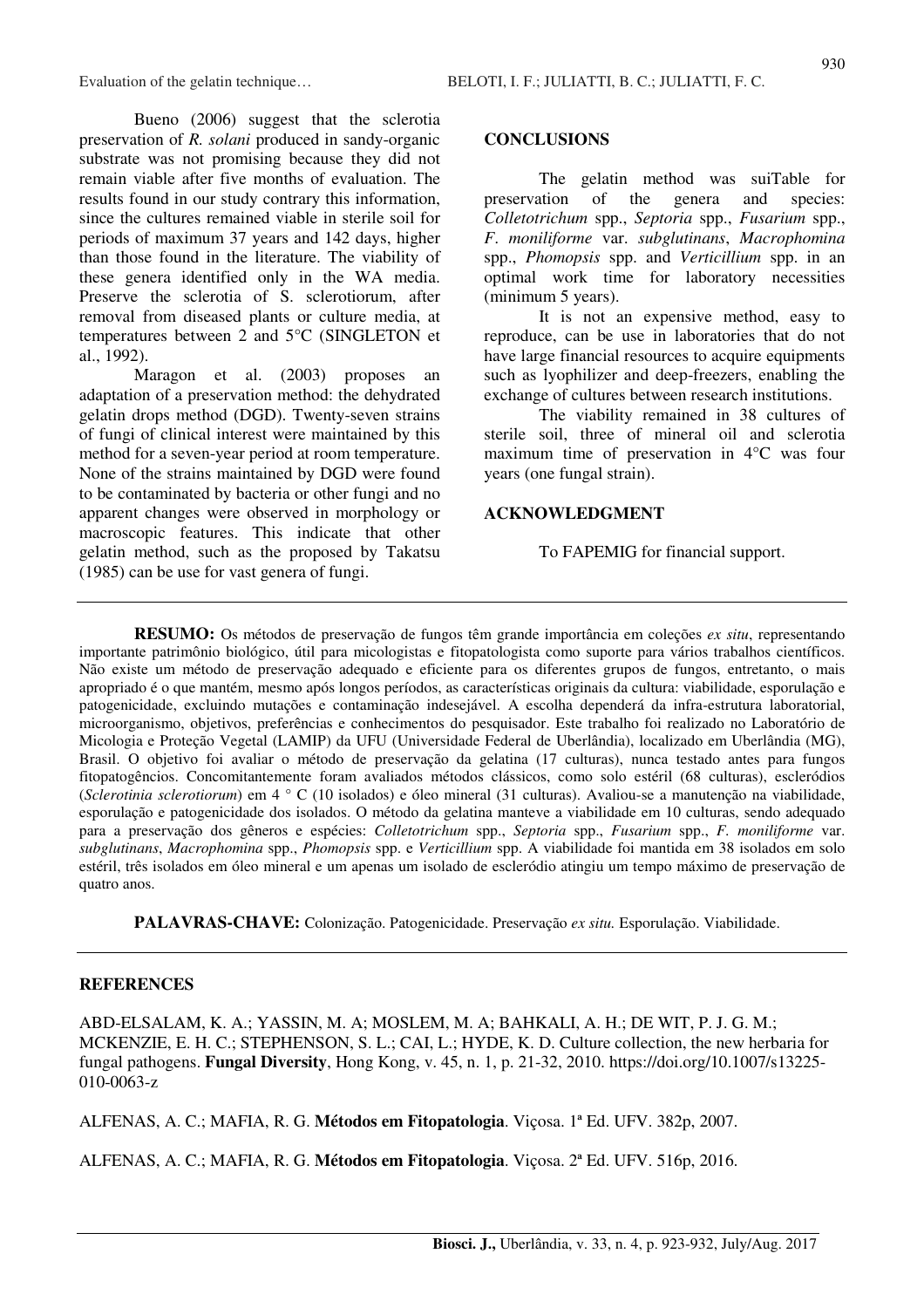Bueno (2006) suggest that the sclerotia preservation of *R. solani* produced in sandy-organic substrate was not promising because they did not remain viable after five months of evaluation. The results found in our study contrary this information, since the cultures remained viable in sterile soil for periods of maximum 37 years and 142 days, higher than those found in the literature. The viability of these genera identified only in the WA media. Preserve the sclerotia of S. sclerotiorum, after removal from diseased plants or culture media, at temperatures between 2 and 5°C (SINGLETON et al., 1992).

Maragon et al. (2003) proposes an adaptation of a preservation method: the dehydrated gelatin drops method (DGD). Twenty-seven strains of fungi of clinical interest were maintained by this method for a seven-year period at room temperature. None of the strains maintained by DGD were found to be contaminated by bacteria or other fungi and no apparent changes were observed in morphology or macroscopic features. This indicate that other gelatin method, such as the proposed by Takatsu (1985) can be use for vast genera of fungi.

## **CONCLUSIONS**

The gelatin method was suiTable for preservation of the genera and species: *Colletotrichum* spp., *Septoria* spp., *Fusarium* spp., *F*. *moniliforme* var. *subglutinans*, *Macrophomina* spp., *Phomopsis* spp. and *Verticillium* spp. in an optimal work time for laboratory necessities (minimum 5 years).

It is not an expensive method, easy to reproduce, can be use in laboratories that do not have large financial resources to acquire equipments such as lyophilizer and deep-freezers, enabling the exchange of cultures between research institutions.

The viability remained in 38 cultures of sterile soil, three of mineral oil and sclerotia maximum time of preservation in 4°C was four years (one fungal strain).

#### **ACKNOWLEDGMENT**

To FAPEMIG for financial support.

**RESUMO:** Os métodos de preservação de fungos têm grande importância em coleções *ex situ*, representando importante patrimônio biológico, útil para micologistas e fitopatologista como suporte para vários trabalhos científicos. Não existe um método de preservação adequado e eficiente para os diferentes grupos de fungos, entretanto, o mais apropriado é o que mantém, mesmo após longos períodos, as características originais da cultura: viabilidade, esporulação e patogenicidade, excluindo mutações e contaminação indesejável. A escolha dependerá da infra-estrutura laboratorial, microorganismo, objetivos, preferências e conhecimentos do pesquisador. Este trabalho foi realizado no Laboratório de Micologia e Proteção Vegetal (LAMIP) da UFU (Universidade Federal de Uberlândia), localizado em Uberlândia (MG), Brasil. O objetivo foi avaliar o método de preservação da gelatina (17 culturas), nunca testado antes para fungos fitopatogêncios. Concomitantemente foram avaliados métodos clássicos, como solo estéril (68 culturas), escleródios (*Sclerotinia sclerotiorum*) em 4 ° C (10 isolados) e óleo mineral (31 culturas). Avaliou-se a manutenção na viabilidade, esporulação e patogenicidade dos isolados. O método da gelatina manteve a viabilidade em 10 culturas, sendo adequado para a preservação dos gêneros e espécies: *Colletotrichum* spp., *Septoria* spp., *Fusarium* spp., *F. moniliforme* var. *subglutinans*, *Macrophomina* spp., *Phomopsis* spp. e *Verticillium* spp. A viabilidade foi mantida em 38 isolados em solo estéril, três isolados em óleo mineral e um apenas um isolado de escleródio atingiu um tempo máximo de preservação de quatro anos.

**PALAVRAS-CHAVE:** Colonização. Patogenicidade. Preservação *ex situ.* Esporulação. Viabilidade.

## **REFERENCES**

ABD-ELSALAM, K. A.; YASSIN, M. A; MOSLEM, M. A; BAHKALI, A. H.; DE WIT, P. J. G. M.; MCKENZIE, E. H. C.; STEPHENSON, S. L.; CAI, L.; HYDE, K. D. Culture collection, the new herbaria for fungal pathogens. **Fungal Diversity**, Hong Kong, v. 45, n. 1, p. 21-32, 2010. https://doi.org/10.1007/s13225- 010-0063-z

ALFENAS, A. C.; MAFIA, R. G. **Métodos em Fitopatologia**. Viçosa. 1ª Ed. UFV. 382p, 2007.

ALFENAS, A. C.; MAFIA, R. G. **Métodos em Fitopatologia**. Viçosa. 2ª Ed. UFV. 516p, 2016.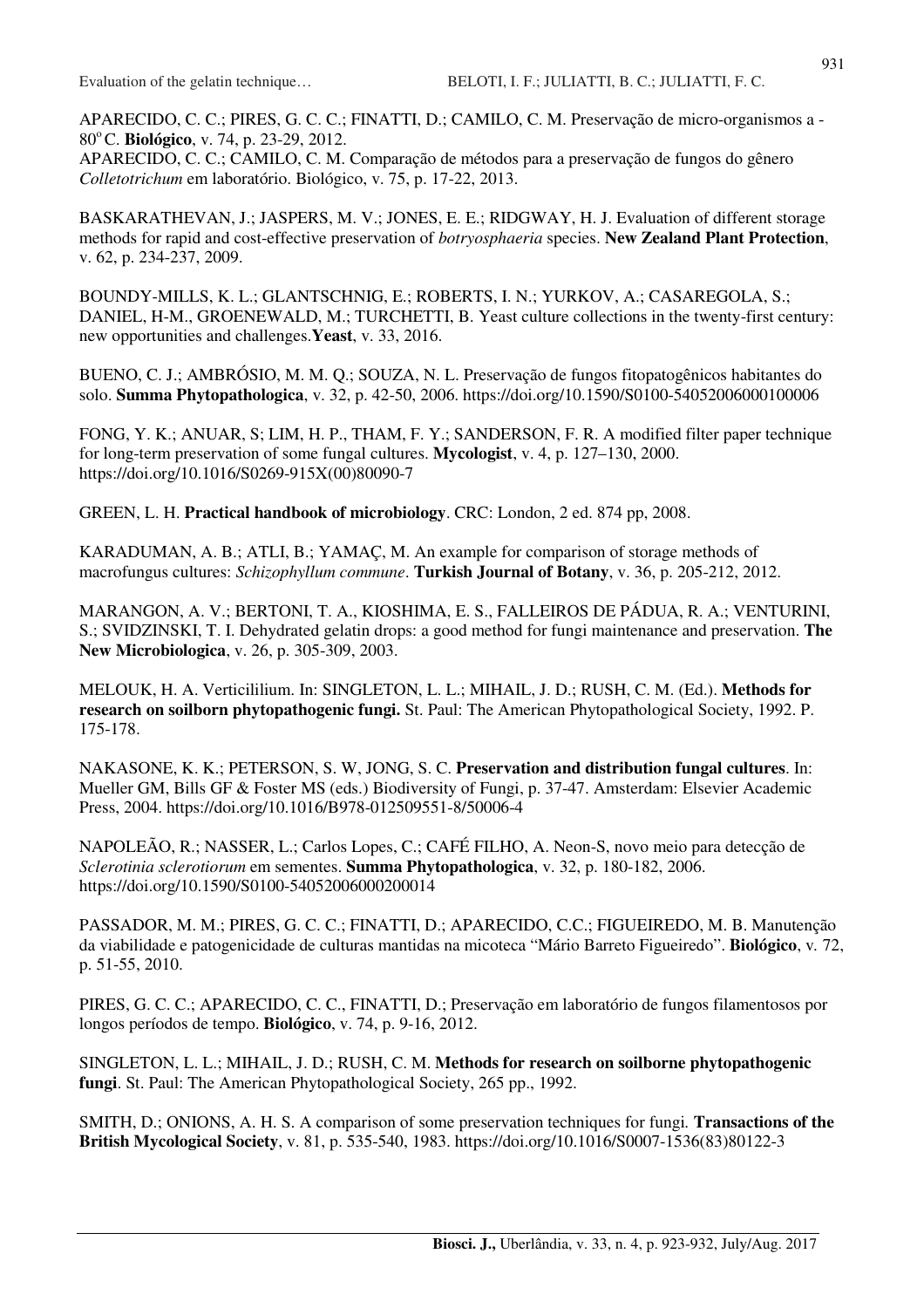APARECIDO, C. C.; PIRES, G. C. C.; FINATTI, D.; CAMILO, C. M. Preservação de micro-organismos a - 80<sup>°</sup>C. **Biológico**, v. 74, p. 23-29, 2012.

APARECIDO, C. C.; CAMILO, C. M. Comparação de métodos para a preservação de fungos do gênero *Colletotrichum* em laboratório. Biológico, v. 75, p. 17-22, 2013.

BASKARATHEVAN, J.; JASPERS, M. V.; JONES, E. E.; RIDGWAY, H. J. Evaluation of different storage methods for rapid and cost-effective preservation of *botryosphaeria* species. **New Zealand Plant Protection**, v. 62, p. 234-237, 2009.

BOUNDY-MILLS, K. L.; GLANTSCHNIG, E.; ROBERTS, I. N.; YURKOV, A.; CASAREGOLA, S.; DANIEL, H-M., GROENEWALD, M.; TURCHETTI, B. Yeast culture collections in the twenty-first century: new opportunities and challenges.**Yeast**, v. 33, 2016.

BUENO, C. J.; AMBRÓSIO, M. M. Q.; SOUZA, N. L. Preservação de fungos fitopatogênicos habitantes do solo. **Summa Phytopathologica**, v. 32, p. 42-50, 2006. https://doi.org/10.1590/S0100-54052006000100006

FONG, Y. K.; ANUAR, S; LIM, H. P., THAM, F. Y.; SANDERSON, F. R. A modified filter paper technique for long-term preservation of some fungal cultures. **Mycologist**, v. 4, p. 127–130, 2000. https://doi.org/10.1016/S0269-915X(00)80090-7

GREEN, L. H. **Practical handbook of microbiology**. CRC: London, 2 ed. 874 pp, 2008.

KARADUMAN, A. B.; ATLI, B.; YAMAÇ, M. An example for comparison of storage methods of macrofungus cultures: *Schizophyllum commune*. **Turkish Journal of Botany**, v. 36, p. 205-212, 2012.

MARANGON, A. V.; BERTONI, T. A., KIOSHIMA, E. S., FALLEIROS DE PÁDUA, R. A.; VENTURINI, S.; SVIDZINSKI, T. I. Dehydrated gelatin drops: a good method for fungi maintenance and preservation. **The New Microbiologica**, v. 26, p. 305-309, 2003.

MELOUK, H. A. Verticililium. In: SINGLETON, L. L.; MIHAIL, J. D.; RUSH, C. M. (Ed.). **Methods for research on soilborn phytopathogenic fungi.** St. Paul: The American Phytopathological Society, 1992. P. 175-178.

NAKASONE, K. K.; PETERSON, S. W, JONG, S. C. **Preservation and distribution fungal cultures**. In: Mueller GM, Bills GF & Foster MS (eds.) Biodiversity of Fungi, p. 37-47. Amsterdam: Elsevier Academic Press, 2004. https://doi.org/10.1016/B978-012509551-8/50006-4

NAPOLEÃO, R.; NASSER, L.; Carlos Lopes, C.; CAFÉ FILHO, A. Neon-S, novo meio para detecção de *Sclerotinia sclerotiorum* em sementes. **Summa Phytopathologica**, v. 32, p. 180-182, 2006. https://doi.org/10.1590/S0100-54052006000200014

PASSADOR, M. M.; PIRES, G. C. C.; FINATTI, D.; APARECIDO, C.C.; FIGUEIREDO, M. B. Manutenção da viabilidade e patogenicidade de culturas mantidas na micoteca "Mário Barreto Figueiredo". **Biológico**, v*.* 72, p. 51-55, 2010.

PIRES, G. C. C.; APARECIDO, C. C., FINATTI, D.; Preservação em laboratório de fungos filamentosos por longos períodos de tempo. **Biológico**, v. 74, p. 9-16, 2012.

SINGLETON, L. L.; MIHAIL, J. D.; RUSH, C. M. **Methods for research on soilborne phytopathogenic fungi**. St. Paul: The American Phytopathological Society, 265 pp., 1992.

SMITH, D.; ONIONS, A. H. S. A comparison of some preservation techniques for fungi*.* **Transactions of the British Mycological Society**, v. 81, p. 535-540, 1983. https://doi.org/10.1016/S0007-1536(83)80122-3